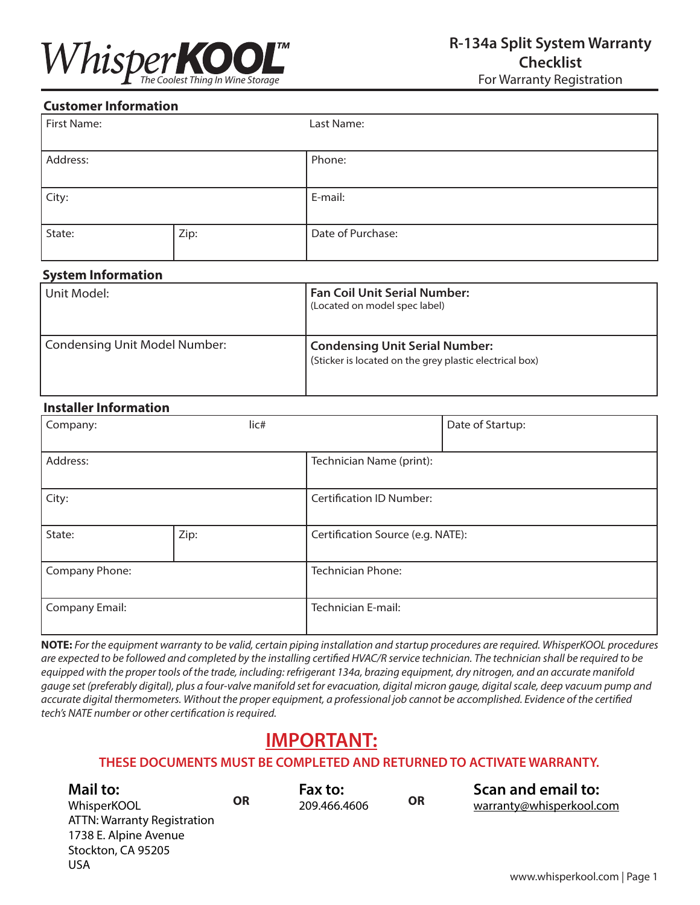

### **Customer Information**

| First Name:        |  | Last Name:        |  |  |  |  |
|--------------------|--|-------------------|--|--|--|--|
|                    |  |                   |  |  |  |  |
| Address:           |  | Phone:            |  |  |  |  |
|                    |  |                   |  |  |  |  |
| $\overline{City:}$ |  | E-mail:           |  |  |  |  |
|                    |  |                   |  |  |  |  |
| State:<br>Zip:     |  | Date of Purchase: |  |  |  |  |
|                    |  |                   |  |  |  |  |

### **System Information**

| Unit Model:                   | <b>Fan Coil Unit Serial Number:</b><br>(Located on model spec label)                             |
|-------------------------------|--------------------------------------------------------------------------------------------------|
| Condensing Unit Model Number: | <b>Condensing Unit Serial Number:</b><br>(Sticker is located on the grey plastic electrical box) |

### **Installer Information**

| Company:       | lic# |                                   | Date of Startup: |  |  |
|----------------|------|-----------------------------------|------------------|--|--|
| Address:       |      | Technician Name (print):          |                  |  |  |
| City:          |      | <b>Certification ID Number:</b>   |                  |  |  |
| State:         | Zip: | Certification Source (e.g. NATE): |                  |  |  |
| Company Phone: |      | <b>Technician Phone:</b>          |                  |  |  |
| Company Email: |      | Technician E-mail:                |                  |  |  |

**NOTE:** *For the equipment warranty to be valid, certain piping installation and startup procedures are required. WhisperKOOL procedures are expected to be followed and completed by the installing certified HVAC/R service technician. The technician shall be required to be equipped with the proper tools of the trade, including: refrigerant 134a, brazing equipment, dry nitrogen, and an accurate manifold gauge set (preferably digital), plus a four-valve manifold set for evacuation, digital micron gauge, digital scale, deep vacuum pump and accurate digital thermometers. Without the proper equipment, a professional job cannot be accomplished. Evidence of the certified tech's NATE number or other certification is required.*

# **IMPORTANT:**

### **THESE DOCUMENTS MUST BE COMPLETED AND RETURNED TO ACTIVATE WARRANTY.**

| Mail to:<br>WhisperKOOL            | <b>OR</b> | Fax to:<br>209.466.4606 | <b>OR</b> | <b>Scan and email to:</b><br>warranty@whisperkool.com |
|------------------------------------|-----------|-------------------------|-----------|-------------------------------------------------------|
| <b>ATTN: Warranty Registration</b> |           |                         |           |                                                       |
| 1738 E. Alpine Avenue              |           |                         |           |                                                       |
| Stockton, CA 95205                 |           |                         |           |                                                       |
| USA                                |           |                         |           |                                                       |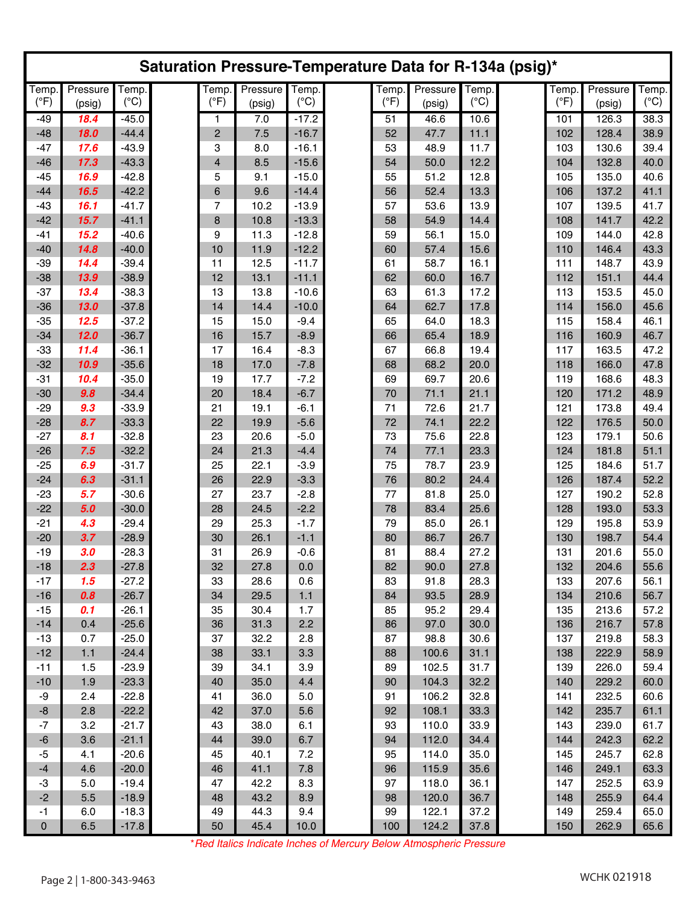| Saturation Pressure-Temperature Data for R-134a (psig)* |                    |                        |  |                         |                    |                        |  |                 |                    |                        |               |                    |                        |
|---------------------------------------------------------|--------------------|------------------------|--|-------------------------|--------------------|------------------------|--|-----------------|--------------------|------------------------|---------------|--------------------|------------------------|
| Temp<br>$(^{\circ}F)$                                   | Pressure<br>(psig) | Temp.<br>$(^{\circ}C)$ |  | Temp.<br>(°F)           | Pressure<br>(psig) | Temp.<br>$(^{\circ}C)$ |  | Temp.<br>(°F)   | Pressure<br>(psig) | Temp.<br>$(^{\circ}C)$ | Temp.<br>(°F) | Pressure<br>(psig) | Femp.<br>$(^{\circ}C)$ |
| $-49$                                                   | 18.4               | $-45.0$                |  | 1                       | 7.0                | $-17.2$                |  | $\overline{51}$ | 46.6               | 10.6                   | 101           | 126.3              | 38.3                   |
| $-48$                                                   | 18.0               | $-44.4$                |  | $\overline{c}$          | 7.5                | $-16.7$                |  | 52              | 47.7               | 11.1                   | 102           | 128.4              | 38.9                   |
| $-47$                                                   | 17.6               | $-43.9$                |  | 3                       | 8.0                | $-16.1$                |  | 53              | 48.9               | 11.7                   | 103           | 130.6              | 39.4                   |
| $-46$                                                   | 17.3               | $-43.3$                |  | $\overline{\mathbf{4}}$ | 8.5                | $-15.6$                |  | 54              | 50.0               | 12.2                   | 104           | 132.8              | 40.0                   |
| $-45$                                                   | 16.9               | $-42.8$                |  | 5                       | 9.1                | $-15.0$                |  | 55              | 51.2               | 12.8                   | 105           | 135.0              | 40.6                   |
| $-44$                                                   | 16.5               | $-42.2$                |  | 6                       | 9.6                | $-14.4$                |  | 56              | 52.4               | 13.3                   | 106           | 137.2              | 41.1                   |
| $-43$                                                   | 16.1               | $-41.7$                |  | 7                       | 10.2               | $-13.9$                |  | 57              | 53.6               | 13.9                   | 107           | 139.5              | 41.7                   |
| $-42$                                                   | 15.7               | $-41.1$                |  | 8                       | 10.8               | $-13.3$                |  | 58              | 54.9               | 14.4                   | 108           | 141.7              | 42.2                   |
| $-41$                                                   | 15.2               | $-40.6$                |  | 9                       | 11.3               | $-12.8$                |  | 59              | 56.1               | 15.0                   | 109           | 144.0              | 42.8                   |
| $-40$                                                   | 14.8               | $-40.0$                |  | 10                      | 11.9               | $-12.2$                |  | 60              | 57.4               | 15.6                   | 110           | 146.4              | 43.3                   |
| $-39$                                                   | 14.4               | $-39.4$                |  | 11                      | 12.5               | $-11.7$                |  | 61              | 58.7               | 16.1                   | 111           | 148.7              | 43.9                   |
| $-38$                                                   | 13.9               | $-38.9$                |  | 12                      | 13.1               | $-11.1$                |  | 62              | 60.0               | 16.7                   | 112           | 151.1              | 44.4                   |
| $-37$                                                   | 13.4               | $-38.3$                |  | 13                      | 13.8               | $-10.6$                |  | 63              | 61.3               | 17.2                   | 113           | 153.5              | 45.0                   |
| $-36$                                                   | 13.0               | $-37.8$                |  | 14                      | 14.4               | $-10.0$                |  | 64              | 62.7               | 17.8                   | 114           | 156.0              | 45.6                   |
| $-35$                                                   | 12.5               | $-37.2$                |  | 15                      | 15.0               | $-9.4$                 |  | 65              | 64.0               | 18.3                   | 115           | 158.4              | 46.1                   |
| $-34$                                                   | $12.0$             | $-36.7$                |  | 16                      | 15.7               | $-8.9$                 |  | 66              | 65.4               | 18.9                   | 116           | 160.9              | 46.7                   |
| $-33$                                                   | 11.4               | $-36.1$                |  | 17                      | 16.4               | $-8.3$                 |  | 67              | 66.8               | 19.4                   | 117           | 163.5              | 47.2                   |
| $-32$                                                   | 10.9               | $-35.6$                |  | 18                      | 17.0               | $-7.8$                 |  | 68              | 68.2               | 20.0                   | 118           | 166.0              | 47.8                   |
| $-31$                                                   | 10.4               | $-35.0$                |  | 19                      | 17.7               | $-7.2$                 |  | 69              | 69.7               | 20.6                   | 119           | 168.6              | 48.3                   |
| $-30$                                                   | 9.8                | $-34.4$                |  | 20                      | 18.4               | $-6.7$                 |  | 70              | 71.1               | 21.1                   | 120           | 171.2              | 48.9                   |
| $-29$                                                   | 9.3                | $-33.9$                |  | 21                      | 19.1               | $-6.1$                 |  | 71              | 72.6               | 21.7                   | 121           | 173.8              | 49.4                   |
| $-28$                                                   | 8.7                | $-33.3$                |  | 22                      | 19.9               | $-5.6$                 |  | 72              | 74.1               | 22.2                   | 122           | 176.5              | 50.0                   |
| $-27$                                                   | 8.1                | $-32.8$                |  | 23                      | 20.6               | $-5.0$                 |  | 73              | 75.6               | 22.8                   | 123           | 179.1              | 50.6                   |
| $-26$                                                   | 7.5                | $-32.2$                |  | 24                      | 21.3               | $-4.4$                 |  | 74              | 77.1               | 23.3                   | 124           | 181.8              | 51.1                   |
| $-25$                                                   | 6.9                | $-31.7$                |  | 25                      | 22.1               | $-3.9$                 |  | 75              | 78.7               | 23.9                   | 125           | 184.6              | 51.7                   |
| $-24$                                                   | 6.3                | $-31.1$                |  | 26                      | 22.9               | $-3.3$                 |  | 76              | 80.2               | 24.4                   | 126           | 187.4              | 52.2                   |
| $-23$                                                   | 5.7                | $-30.6$                |  | 27                      | 23.7               | $-2.8$                 |  | 77              | 81.8               | 25.0                   | 127           | 190.2              | 52.8                   |
| $-22$                                                   | 5.0                | $-30.0$                |  | 28                      | 24.5               | $-2.2$                 |  | 78              | 83.4               | 25.6                   | 128           | 193.0              | 53.3                   |
| $-21$                                                   | 4.3                | $-29.4$                |  | 29                      | 25.3               | $-1.7$                 |  | 79              | 85.0               | 26.1                   | 129           | 195.8              | 53.9                   |
| $-20$                                                   | 3.7                | $-28.9$                |  | 30                      | 26.1               | $-1.1$                 |  | 80              | 86.7               | 26.7                   | 130           | 198.7              | 54.4                   |
| $-19$                                                   | 3.0                | $-28.3$                |  | 31                      | 26.9               | $-0.6$                 |  | 81              | 88.4               | 27.2                   | 131           | 201.6              | 55.0                   |
| $-18$                                                   | 2.3                | $-27.8$                |  | 32                      | 27.8               | $0.0\,$                |  | 82              | 90.0               | 27.8                   | 132           | 204.6              | 55.6                   |
| $-17$                                                   | 1.5                | $-27.2$                |  | 33                      | 28.6               | 0.6                    |  | 83              | 91.8               | 28.3                   | 133           | 207.6              | 56.1                   |
| $-16$                                                   | 0.8                | $-26.7$                |  | 34                      | 29.5               | 1.1                    |  | 84              | 93.5               | 28.9                   | 134           | 210.6              | 56.7                   |
| $-15$                                                   | 0.1                | $-26.1$                |  | 35                      | 30.4               | 1.7                    |  | 85              | 95.2               | 29.4                   | 135           | 213.6              | 57.2                   |
| $-14$                                                   | 0.4                | $-25.6$                |  | 36                      | 31.3               | 2.2                    |  | 86              | 97.0               | 30.0                   | 136           | 216.7              | 57.8                   |
| $-13$                                                   | 0.7                | $-25.0$                |  | 37                      | 32.2               | 2.8                    |  | 87              | 98.8               | 30.6                   | 137           | 219.8              | 58.3                   |
| $-12$                                                   | $1.1$              | $-24.4$                |  | 38                      | 33.1               | 3.3                    |  | 88              | 100.6              | 31.1                   | 138           | 222.9              | 58.9                   |
| $-11$                                                   | 1.5                | $-23.9$                |  | 39                      | 34.1               | 3.9                    |  | 89              | 102.5              | 31.7                   | 139           | 226.0              | 59.4                   |
| $-10$                                                   | 1.9                | $-23.3$                |  | 40                      | 35.0               | 4.4                    |  | 90              | 104.3              | 32.2                   | 140           | 229.2              | 60.0                   |
| -9                                                      | 2.4                | $-22.8$                |  | 41                      | 36.0               | 5.0                    |  | 91              | 106.2              | 32.8                   | 141           | 232.5              | 60.6                   |
| $-8$                                                    | 2.8                | $-22.2$                |  | 42                      | 37.0               | 5.6                    |  | 92              | 108.1              | 33.3                   | 142           | 235.7              | 61.1                   |
| $-7$                                                    | 3.2                | $-21.7$                |  | 43                      | 38.0               | 6.1                    |  | 93              | 110.0              | 33.9                   | 143           | 239.0              | 61.7                   |
| $-6$                                                    | 3.6                | $-21.1$                |  | 44                      | 39.0               | 6.7                    |  | 94              | 112.0              | 34.4                   | 144           | 242.3              | 62.2                   |
| $-5$                                                    | 4.1                | $-20.6$                |  | 45                      | 40.1               | 7.2                    |  | 95              | 114.0              | 35.0                   | 145           | 245.7              | 62.8                   |
| $-4$                                                    | 4.6                | $-20.0$                |  | 46                      | 41.1               | $7.8\,$                |  | 96              | 115.9              | 35.6                   | 146           | 249.1              | 63.3                   |
| -3                                                      | 5.0                | $-19.4$                |  | 47                      | 42.2               | 8.3                    |  | 97              | 118.0              | 36.1                   | 147           | 252.5              | 63.9                   |
| $-2$                                                    | 5.5                | $-18.9$                |  | 48                      | 43.2               | 8.9                    |  | 98              | 120.0              | 36.7                   | 148           | 255.9              | 64.4                   |
| $-1$                                                    | 6.0                | $-18.3$                |  | 49                      | 44.3               | 9.4                    |  | 99              | 122.1              | 37.2                   | 149           | 259.4              | 65.0                   |
| 0                                                       | 6.5                | $-17.8$                |  | 50                      | 45.4               | 10.0                   |  | 100             | 124.2              | 37.8                   | 150           | 262.9              | 65.6                   |

\*Red Italics Indicate Inches of Mercury Below Atmospheric Pressure